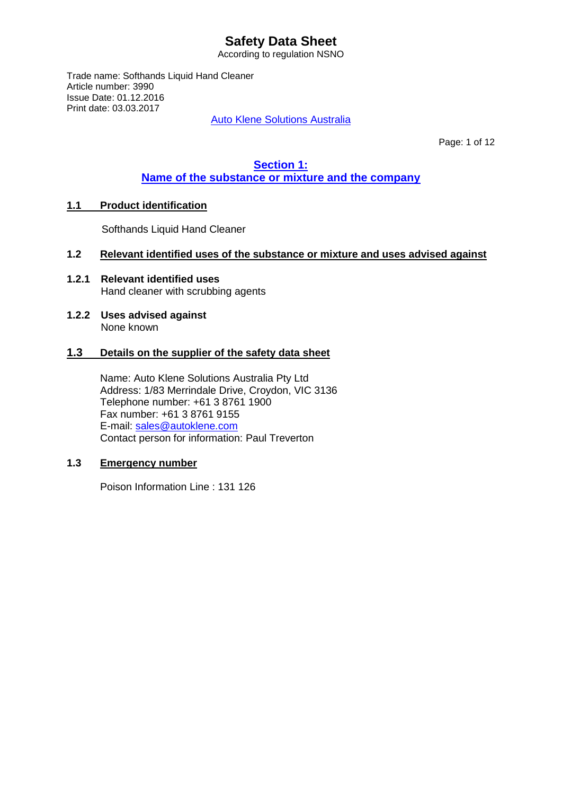According to regulation NSNO

Trade name: Softhands Liquid Hand Cleaner Article number: 3990 Issue Date: 01.12.2016 Print date: 03.03.2017

Auto Klene Solutions Australia

Page: 1 of 12

## **Section 1: Name of the substance or mixture and the company**

## **1.1 Product identification**

Softhands Liquid Hand Cleaner

### **1.2 Relevant identified uses of the substance or mixture and uses advised against**

- **1.2.1 Relevant identified uses** Hand cleaner with scrubbing agents
- **1.2.2 Uses advised against** None known

#### **1.3 Details on the supplier of the safety data sheet**

Name: Auto Klene Solutions Australia Pty Ltd Address: 1/83 Merrindale Drive, Croydon, VIC 3136 Telephone number: +61 3 8761 1900 Fax number: +61 3 8761 9155 E-mail: [sales@autoklene.com](mailto:sales@autoklene.com) Contact person for information: Paul Treverton

## **1.3 Emergency number**

Poison Information Line : 131 126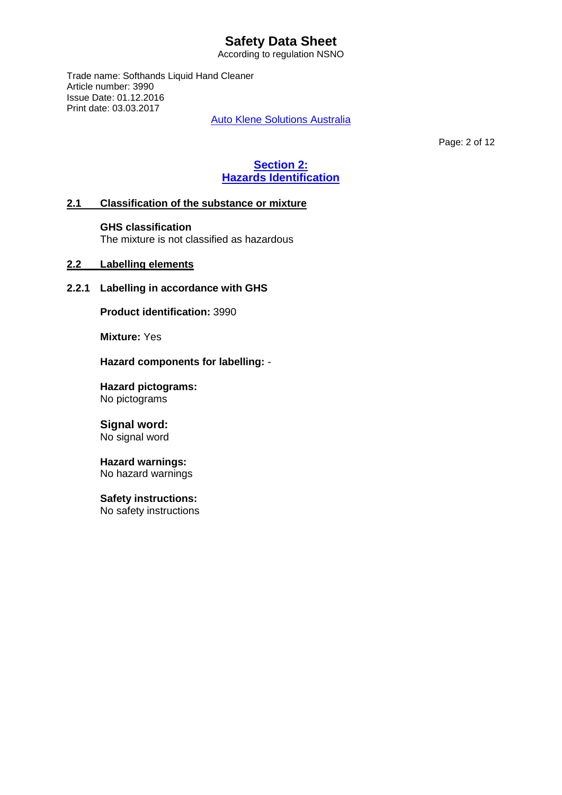According to regulation NSNO

Trade name: Softhands Liquid Hand Cleaner Article number: 3990 Issue Date: 01.12.2016 Print date: 03.03.2017

Auto Klene Solutions Australia

Page: 2 of 12

# **Section 2: Hazards Identification**

## **2.1 Classification of the substance or mixture**

#### **GHS classification**

The mixture is not classified as hazardous

## **2.2 Labelling elements**

## **2.2.1 Labelling in accordance with GHS**

**Product identification:** 3990

**Mixture:** Yes

**Hazard components for labelling:** -

**Hazard pictograms:** No pictograms

# **Signal word:**

No signal word

#### **Hazard warnings:** No hazard warnings

**Safety instructions:**

No safety instructions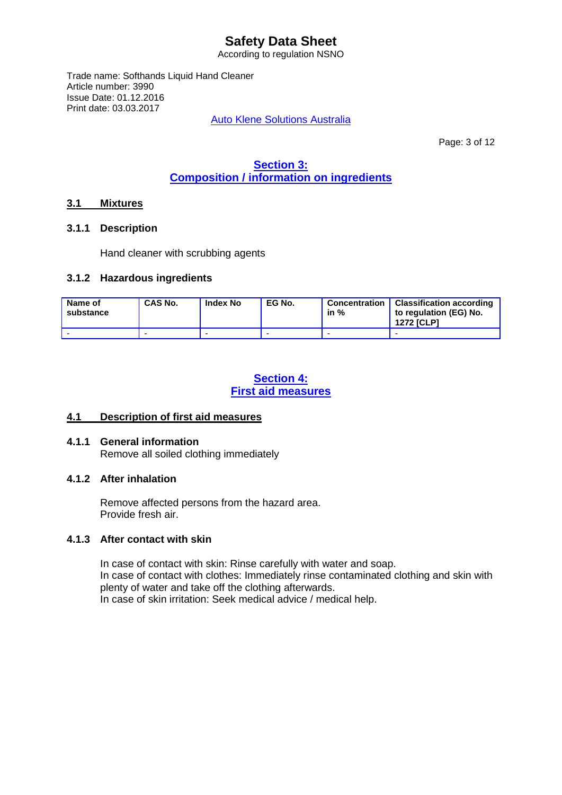According to regulation NSNO

Trade name: Softhands Liquid Hand Cleaner Article number: 3990 Issue Date: 01.12.2016 Print date: 03.03.2017

Auto Klene Solutions Australia

Page: 3 of 12

# **Section 3: Composition / information on ingredients**

## **3.1 Mixtures**

#### **3.1.1 Description**

Hand cleaner with scrubbing agents

#### **3.1.2 Hazardous ingredients**

| Name of<br>substance | CAS No. | <b>Index No</b> | EG No. | Concentration<br>in % | <b>Classification according</b><br>to regulation (EG) No.<br><b>1272 [CLP]</b> |
|----------------------|---------|-----------------|--------|-----------------------|--------------------------------------------------------------------------------|
|                      |         |                 |        |                       |                                                                                |

## **Section 4: First aid measures**

## **4.1 Description of first aid measures**

## **4.1.1 General information**

Remove all soiled clothing immediately

## **4.1.2 After inhalation**

Remove affected persons from the hazard area. Provide fresh air.

## **4.1.3 After contact with skin**

In case of contact with skin: Rinse carefully with water and soap. In case of contact with clothes: Immediately rinse contaminated clothing and skin with plenty of water and take off the clothing afterwards. In case of skin irritation: Seek medical advice / medical help.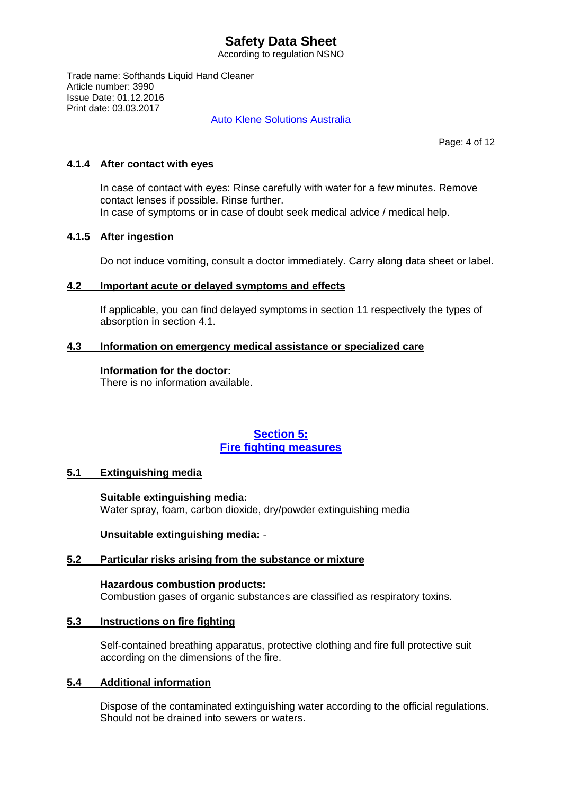According to regulation NSNO

Trade name: Softhands Liquid Hand Cleaner Article number: 3990 Issue Date: 01.12.2016 Print date: 03.03.2017

Auto Klene Solutions Australia

Page: 4 of 12

#### **4.1.4 After contact with eyes**

In case of contact with eyes: Rinse carefully with water for a few minutes. Remove contact lenses if possible. Rinse further. In case of symptoms or in case of doubt seek medical advice / medical help.

#### **4.1.5 After ingestion**

Do not induce vomiting, consult a doctor immediately. Carry along data sheet or label.

#### **4.2 Important acute or delayed symptoms and effects**

If applicable, you can find delayed symptoms in section 11 respectively the types of absorption in section 4.1.

## **4.3 Information on emergency medical assistance or specialized care**

#### **Information for the doctor:**

There is no information available.

## **Section 5: Fire fighting measures**

## **5.1 Extinguishing media**

**Suitable extinguishing media:** Water spray, foam, carbon dioxide, dry/powder extinguishing media

**Unsuitable extinguishing media:** -

## **5.2 Particular risks arising from the substance or mixture**

**Hazardous combustion products:** Combustion gases of organic substances are classified as respiratory toxins.

#### **5.3 Instructions on fire fighting**

Self-contained breathing apparatus, protective clothing and fire full protective suit according on the dimensions of the fire.

## **5.4 Additional information**

Dispose of the contaminated extinguishing water according to the official regulations. Should not be drained into sewers or waters.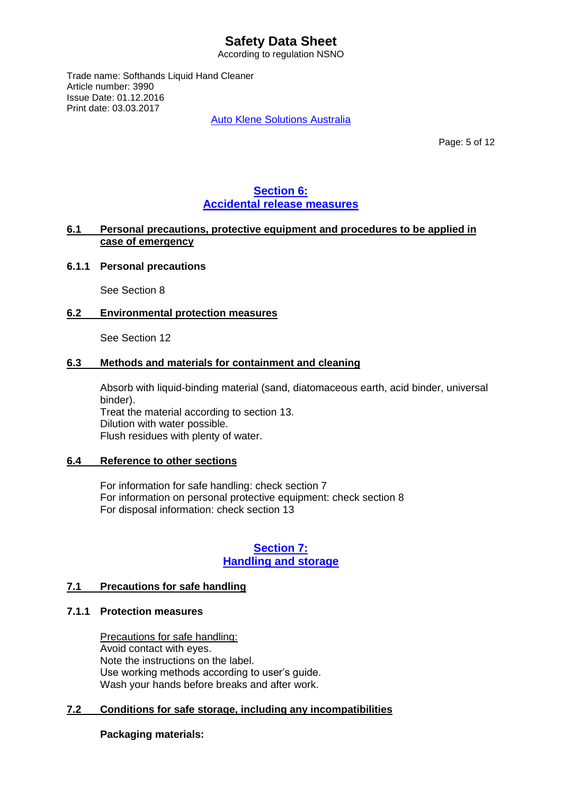According to regulation NSNO

Trade name: Softhands Liquid Hand Cleaner Article number: 3990 Issue Date: 01.12.2016 Print date: 03.03.2017

Auto Klene Solutions Australia

Page: 5 of 12

## **Section 6: Accidental release measures**

### **6.1 Personal precautions, protective equipment and procedures to be applied in case of emergency**

#### **6.1.1 Personal precautions**

See Section 8

#### **6.2 Environmental protection measures**

See Section 12

#### **6.3 Methods and materials for containment and cleaning**

Absorb with liquid-binding material (sand, diatomaceous earth, acid binder, universal binder). Treat the material according to section 13. Dilution with water possible. Flush residues with plenty of water.

#### **6.4 Reference to other sections**

For information for safe handling: check section 7 For information on personal protective equipment: check section 8 For disposal information: check section 13

## **Section 7: Handling and storage**

## **7.1 Precautions for safe handling**

#### **7.1.1 Protection measures**

Precautions for safe handling: Avoid contact with eyes. Note the instructions on the label. Use working methods according to user's guide. Wash your hands before breaks and after work.

## **7.2 Conditions for safe storage, including any incompatibilities**

## **Packaging materials:**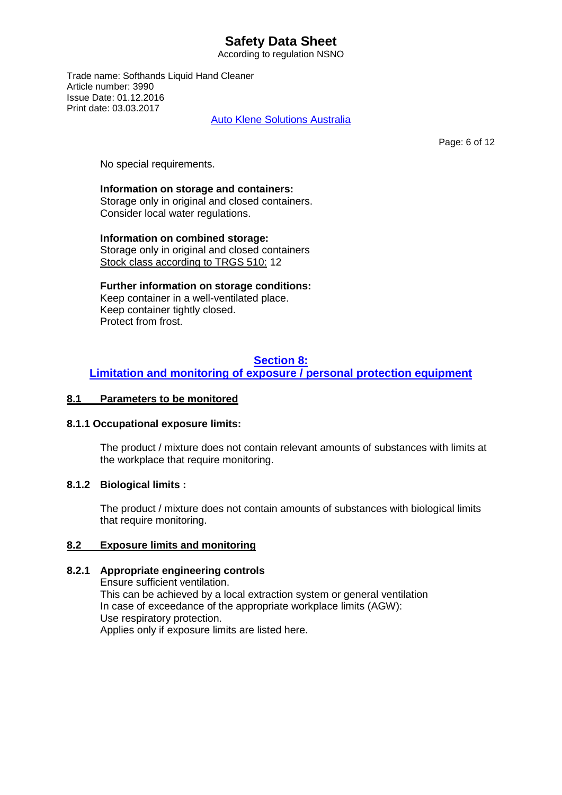According to regulation NSNO

Trade name: Softhands Liquid Hand Cleaner Article number: 3990 Issue Date: 01.12.2016 Print date: 03.03.2017

Auto Klene Solutions Australia

Page: 6 of 12

No special requirements.

#### **Information on storage and containers:**

Storage only in original and closed containers. Consider local water regulations.

**Information on combined storage:**  Storage only in original and closed containers Stock class according to TRGS 510: 12

**Further information on storage conditions:** Keep container in a well-ventilated place. Keep container tightly closed. Protect from frost.

## **Section 8:**

## **Limitation and monitoring of exposure / personal protection equipment**

### **8.1 Parameters to be monitored**

#### **8.1.1 Occupational exposure limits:**

The product / mixture does not contain relevant amounts of substances with limits at the workplace that require monitoring.

## **8.1.2 Biological limits :**

The product / mixture does not contain amounts of substances with biological limits that require monitoring.

## **8.2 Exposure limits and monitoring**

## **8.2.1 Appropriate engineering controls**

Ensure sufficient ventilation. This can be achieved by a local extraction system or general ventilation In case of exceedance of the appropriate workplace limits (AGW): Use respiratory protection. Applies only if exposure limits are listed here.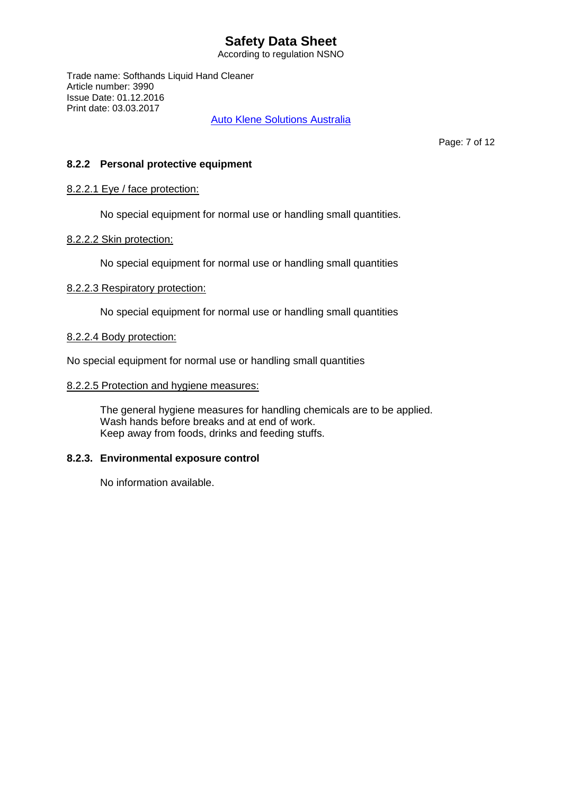According to regulation NSNO

Trade name: Softhands Liquid Hand Cleaner Article number: 3990 Issue Date: 01.12.2016 Print date: 03.03.2017

Auto Klene Solutions Australia

Page: 7 of 12

### **8.2.2 Personal protective equipment**

#### 8.2.2.1 Eye / face protection:

No special equipment for normal use or handling small quantities.

#### 8.2.2.2 Skin protection:

No special equipment for normal use or handling small quantities

#### 8.2.2.3 Respiratory protection:

No special equipment for normal use or handling small quantities

#### 8.2.2.4 Body protection:

No special equipment for normal use or handling small quantities

#### 8.2.2.5 Protection and hygiene measures:

The general hygiene measures for handling chemicals are to be applied. Wash hands before breaks and at end of work. Keep away from foods, drinks and feeding stuffs.

## **8.2.3. Environmental exposure control**

No information available.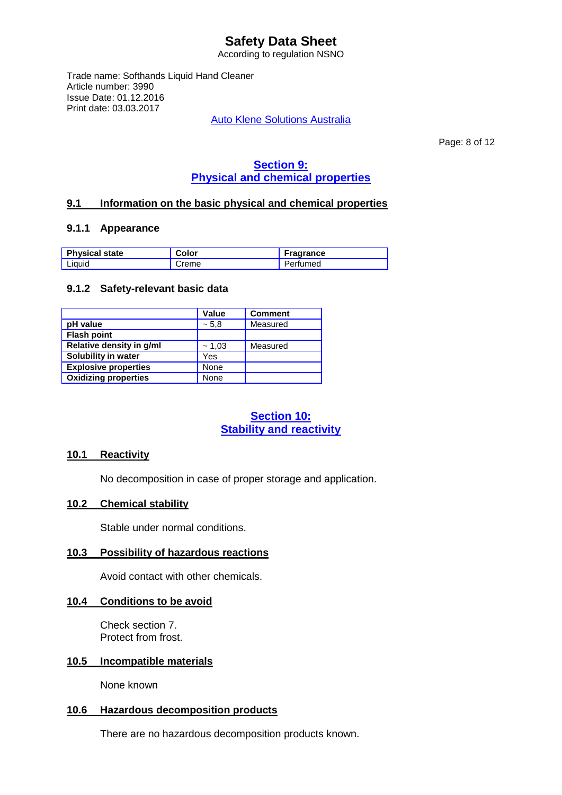According to regulation NSNO

Trade name: Softhands Liquid Hand Cleaner Article number: 3990 Issue Date: 01.12.2016 Print date: 03.03.2017

Auto Klene Solutions Australia

Page: 8 of 12

# **Section 9: Physical and chemical properties**

## **9.1 Information on the basic physical and chemical properties**

#### **9.1.1 Appearance**

| <b>Physical state</b> | Color | <b>Fragrance</b> |
|-----------------------|-------|------------------|
| Liauid                | Creme | Perfumed         |

#### **9.1.2 Safety-relevant basic data**

|                             | <b>Value</b> | <b>Comment</b> |
|-----------------------------|--------------|----------------|
| pH value                    | ~5.8         | Measured       |
| <b>Flash point</b>          |              |                |
| Relative density in g/ml    | ~1,03        | Measured       |
| Solubility in water         | Yes          |                |
| <b>Explosive properties</b> | None         |                |
| <b>Oxidizing properties</b> | None         |                |

## **Section 10: Stability and reactivity**

#### **10.1 Reactivity**

No decomposition in case of proper storage and application.

## **10.2 Chemical stability**

Stable under normal conditions.

#### **10.3 Possibility of hazardous reactions**

Avoid contact with other chemicals.

#### **10.4 Conditions to be avoid**

Check section 7. Protect from frost.

#### **10.5 Incompatible materials**

None known

#### **10.6 Hazardous decomposition products**

There are no hazardous decomposition products known.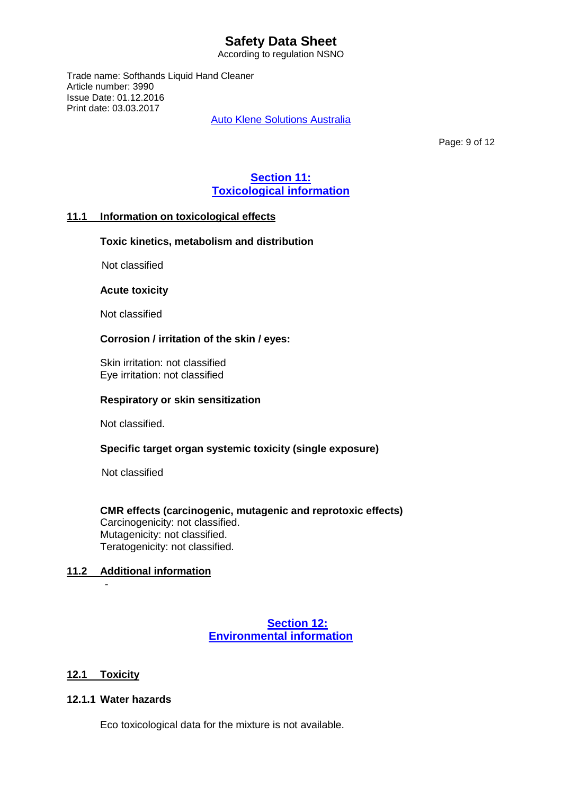According to regulation NSNO

Trade name: Softhands Liquid Hand Cleaner Article number: 3990 Issue Date: 01.12.2016 Print date: 03.03.2017

Auto Klene Solutions Australia

Page: 9 of 12

## **Section 11: Toxicological information**

## **11.1 Information on toxicological effects**

## **Toxic kinetics, metabolism and distribution**

Not classified

#### **Acute toxicity**

Not classified

## **Corrosion / irritation of the skin / eyes:**

 Skin irritation: not classified Eye irritation: not classified

#### **Respiratory or skin sensitization**

Not classified.

## **Specific target organ systemic toxicity (single exposure)**

Not classified

#### **CMR effects (carcinogenic, mutagenic and reprotoxic effects)** Carcinogenicity: not classified. Mutagenicity: not classified. Teratogenicity: not classified.

## **11.2 Additional information**

## **Section 12: Environmental information**

## **12.1 Toxicity**

-

### **12.1.1 Water hazards**

Eco toxicological data for the mixture is not available.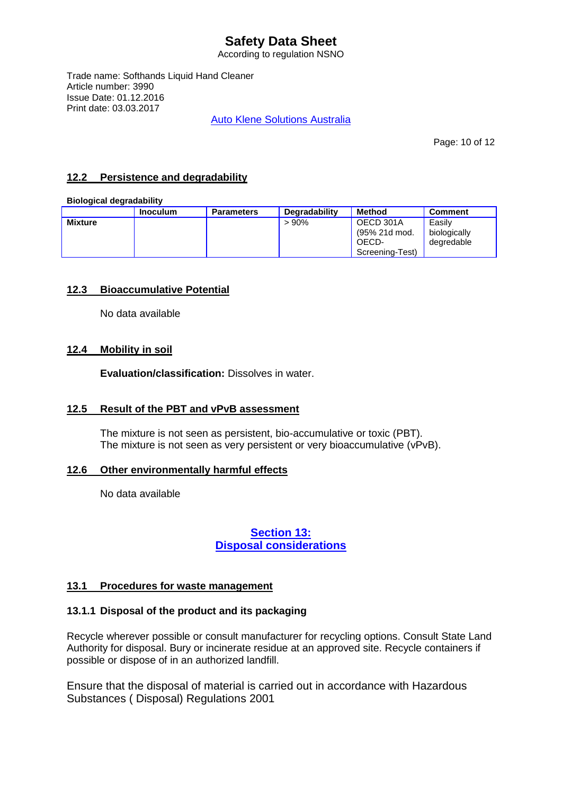According to regulation NSNO

Trade name: Softhands Liquid Hand Cleaner Article number: 3990 Issue Date: 01.12.2016 Print date: 03.03.2017

Auto Klene Solutions Australia

Page: 10 of 12

## **12.2 Persistence and degradability**

#### **Biological degradability**

|                | Inoculum | <b>Parameters</b> | <b>Degradability</b> | <b>Method</b>                                          | <b>Comment</b>                       |
|----------------|----------|-------------------|----------------------|--------------------------------------------------------|--------------------------------------|
| <b>Mixture</b> |          |                   | $>90\%$              | OECD 301A<br>(95% 21d mod.<br>OECD-<br>Screening-Test) | Easilv<br>biologically<br>dearedable |

## **12.3 Bioaccumulative Potential**

No data available

## **12.4 Mobility in soil**

**Evaluation/classification:** Dissolves in water.

## **12.5 Result of the PBT and vPvB assessment**

The mixture is not seen as persistent, bio-accumulative or toxic (PBT). The mixture is not seen as very persistent or very bioaccumulative (vPvB).

## **12.6 Other environmentally harmful effects**

No data available

## **Section 13: Disposal considerations**

## **13.1 Procedures for waste management**

## **13.1.1 Disposal of the product and its packaging**

Recycle wherever possible or consult manufacturer for recycling options. Consult State Land Authority for disposal. Bury or incinerate residue at an approved site. Recycle containers if possible or dispose of in an authorized landfill.

Ensure that the disposal of material is carried out in accordance with Hazardous Substances ( Disposal) Regulations 2001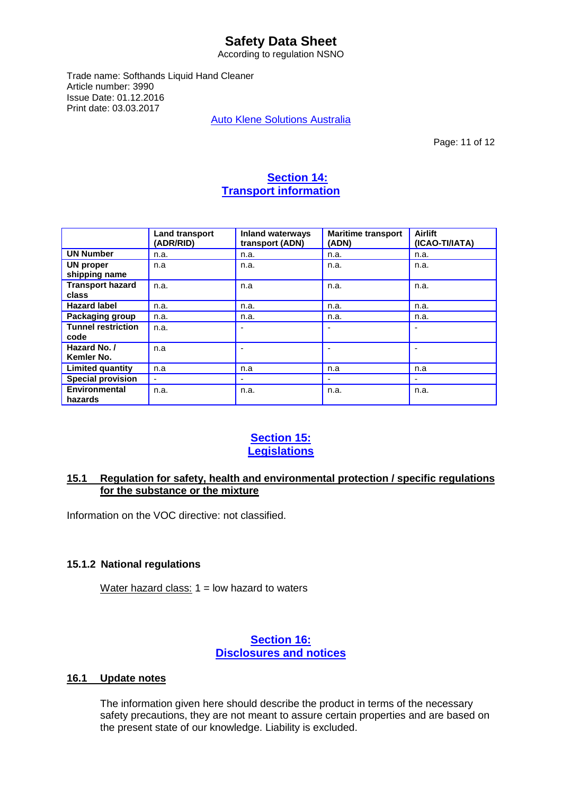According to regulation NSNO

Trade name: Softhands Liquid Hand Cleaner Article number: 3990 Issue Date: 01.12.2016 Print date: 03.03.2017

Auto Klene Solutions Australia

Page: 11 of 12

## **Section 14: Transport information**

|                                   | <b>Land transport</b><br>(ADR/RID) | <b>Inland waterways</b><br>transport (ADN) | <b>Maritime transport</b><br>(ADN) | <b>Airlift</b><br>(ICAO-TI/IATA) |
|-----------------------------------|------------------------------------|--------------------------------------------|------------------------------------|----------------------------------|
| <b>UN Number</b>                  | n.a.                               | n.a.                                       | n.a.                               | n.a.                             |
| UN proper<br>shipping name        | n.a                                | n.a.                                       | n.a.                               | n.a.                             |
| <b>Transport hazard</b><br>class  | n.a.                               | n.a                                        | n.a.                               | n.a.                             |
| <b>Hazard label</b>               | n.a.                               | n.a.                                       | n.a.                               | n.a.                             |
| <b>Packaging group</b>            | n.a.                               | n.a.                                       | n.a.                               | n.a.                             |
| <b>Tunnel restriction</b><br>code | n.a.                               |                                            |                                    |                                  |
| Hazard No. /<br>Kemler No.        | n.a                                |                                            |                                    |                                  |
| <b>Limited quantity</b>           | n.a                                | n.a                                        | n.a                                | n.a                              |
| <b>Special provision</b>          | $\blacksquare$                     |                                            |                                    |                                  |
| Environmental<br>hazards          | n.a.                               | n.a.                                       | n.a.                               | n.a.                             |

## **Section 15: Legislations**

## **15.1 Regulation for safety, health and environmental protection / specific regulations for the substance or the mixture**

Information on the VOC directive: not classified.

## **15.1.2 National regulations**

Water hazard class:  $1 =$  low hazard to waters

## **Section 16: Disclosures and notices**

## **16.1 Update notes**

The information given here should describe the product in terms of the necessary safety precautions, they are not meant to assure certain properties and are based on the present state of our knowledge. Liability is excluded.